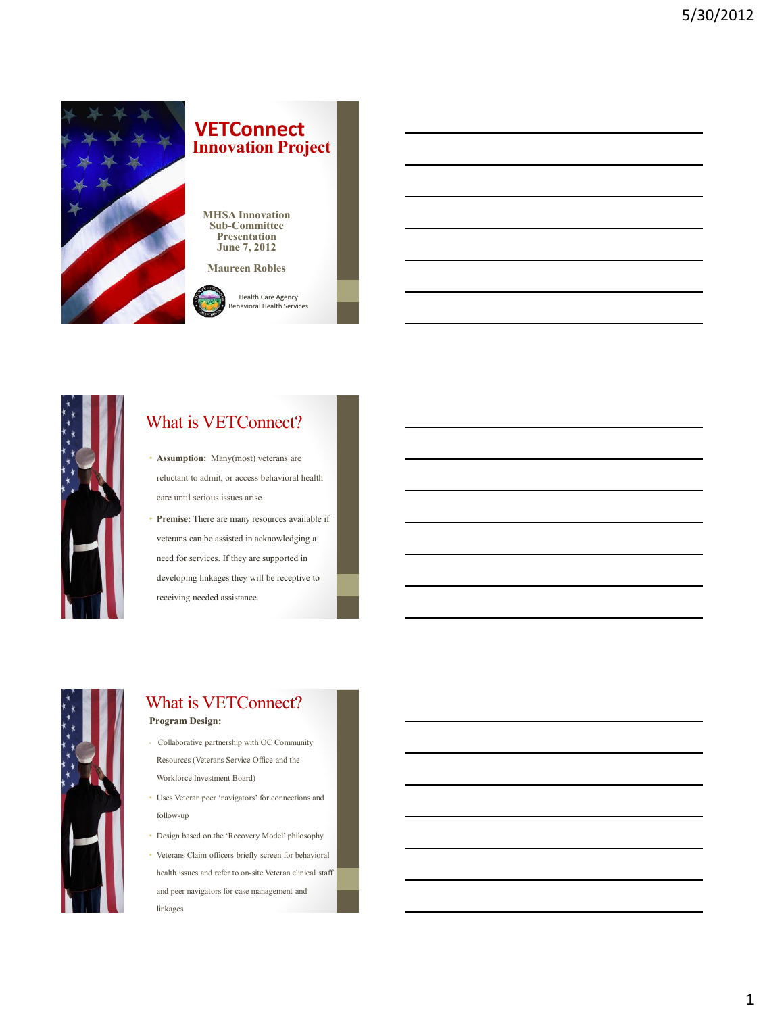

### *I* **Innovation Project VETConnect**

**MHSA Innovation Sub-Committee Presentation June 7, 2012** 

**Maureen Robles**

Health Care Agency





## What is VETConnect?

- **Assumption:** Many(most) veterans are reluctant to admit, or access behavioral health care until serious issues arise.
- **Premise:** There are many resources available if veterans can be assisted in acknowledging a need for services. If they are supported in developing linkages they will be receptive to receiving needed assistance.



### What is VETConnect? **Program Design:**

- Collaborative partnership with OC Community Resources (Veterans Service Office and the Workforce Investment Board)
- Uses Veteran peer 'navigators' for connections and follow-up
- Design based on the 'Recovery Model' philosophy
- Veterans Claim officers briefly screen for behavioral health issues and refer to on-site Veteran clinical staff and peer navigators for case management and linkages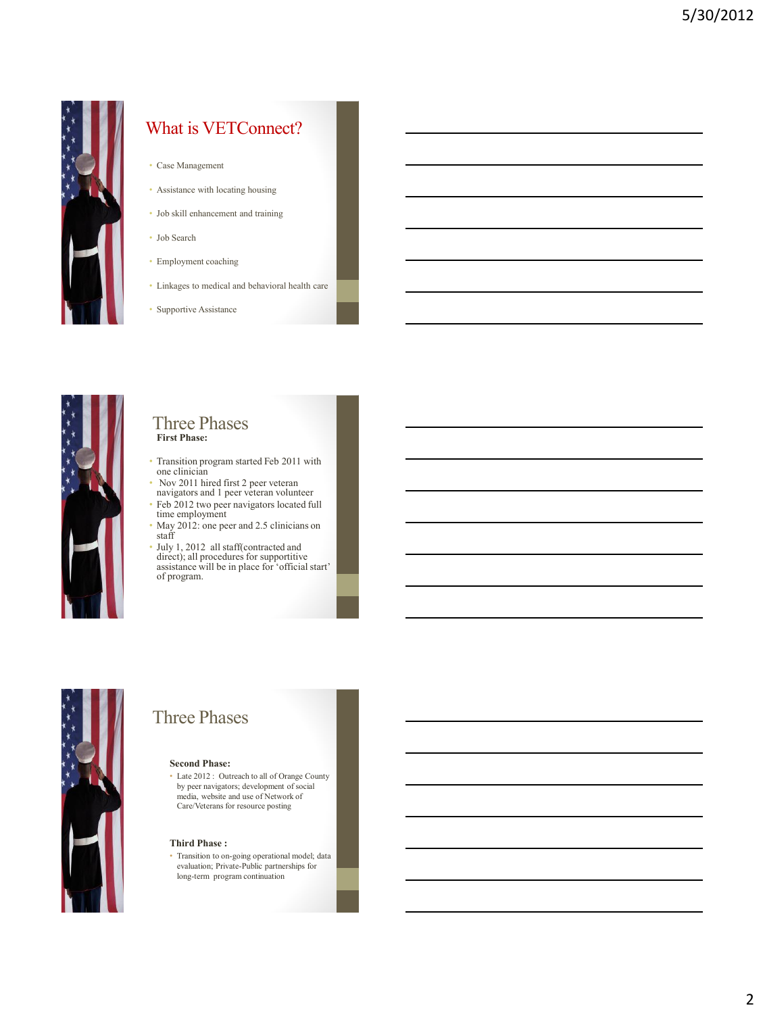

## What is VETConnect?

- Case Management
- Assistance with locating housing
- Job skill enhancement and training
- Job Search
- Employment coaching
- Linkages to medical and behavioral health care
- Supportive Assistance



### Three Phases  **First Phase:**

- Transition program started Feb 2011 with one clinician
- Nov 2011 hired first 2 peer veteran navigators and 1 peer veteran volunteer
- Feb 2012 two peer navigators located full time employment
- May 2012: one peer and 2.5 clinicians on staff
- July 1, 2012 all staff(contracted and direct); all procedures for supportitive assistance will be in place for 'official start' of program.



# Three Phases

#### **Second Phase:**

• Late 2012 : Outreach to all of Orange County by peer navigators; development of social media, website and use of Network of Care/Veterans for resource posting

### **Third Phase :**

• Transition to on-going operational model; data evaluation; Private-Public partnerships for long-term program continuation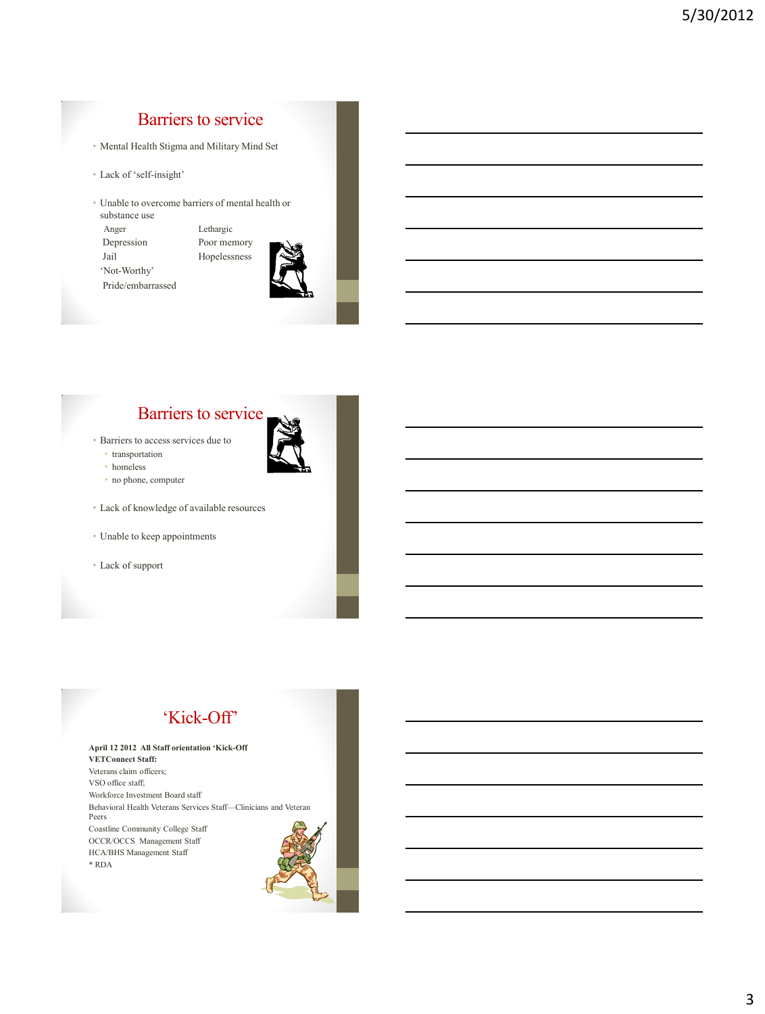# Barriers to service

- Mental Health Stigma and Military Mind Set
- Lack of 'self-insight'
- Unable to overcome barriers of mental health or substance use

 Anger Lethargic Depression Poor memory Jail Hopelessness 'Not-Worthy' Pride/embarrassed



## Barriers to service

- Barriers to access services due to
	- transportation
	- homeless
	- no phone, computer
- Lack of knowledge of available resources
- Unable to keep appointments
- Lack of support

## 'Kick-Off'

**April 12 2012 All Staff orientation 'Kick-Off VETConnect Staff:**  Veterans claim officers; VSO office staff; Workforce Investment Board staff Behavioral Health Veterans Services Staff—Clinicians and Veteran Peers Coastline Community College Staff OCCR/OCCS Management Staff HCA/BHS Management Staff \* RDA

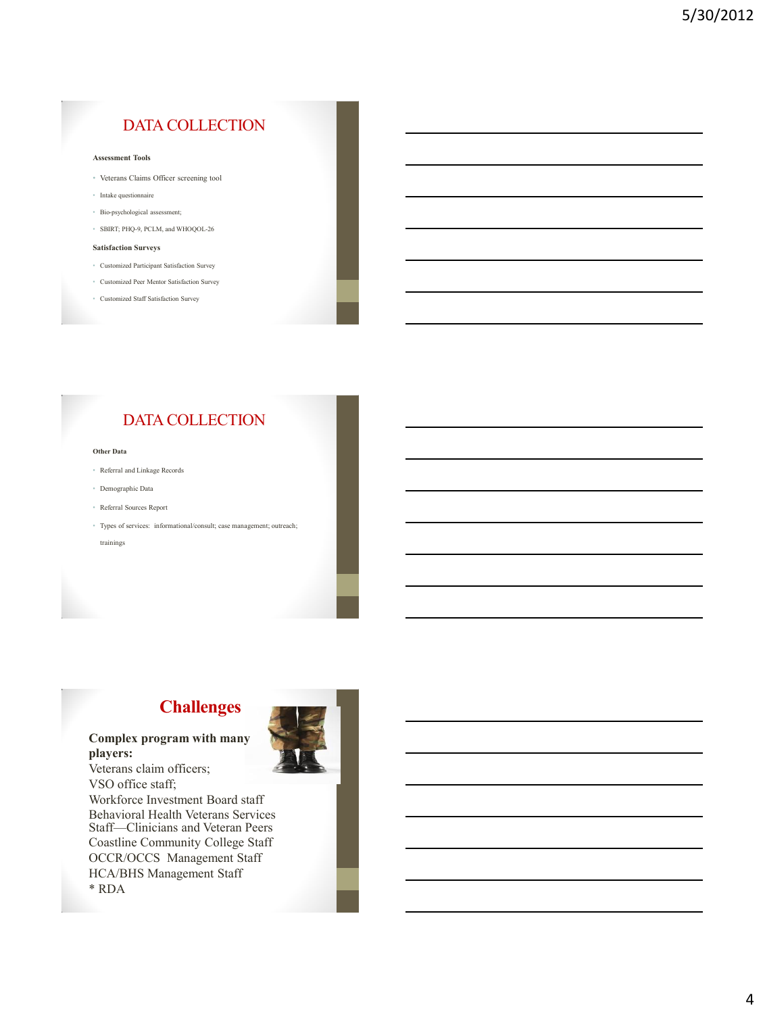## DATA COLLECTION

#### **Assessment Tools**

- Veterans Claims Officer screening tool
- Intake questionnaire
- Bio-psychological assessment;
- SBIRT; PHQ-9, PCLM, and WHOQOL-26

### **Satisfaction Surveys**

- Customized Participant Satisfaction Survey
- Customized Peer Mentor Satisfaction Survey
- Customized Staff Satisfaction Survey

### DATA COLLECTION

#### **Other Data**

- Referral and Linkage Records
- Demographic Data
- Referral Sources Report
- Types of services: informational/consult; case management; outreach; trainings

## **Challenges**



**Complex program with many players:**

Veterans claim officers; VSO office staff; Workforce Investment Board staff Behavioral Health Veterans Services Staff—Clinicians and Veteran Peers Coastline Community College Staff OCCR/OCCS Management Staff HCA/BHS Management Staff \* RDA

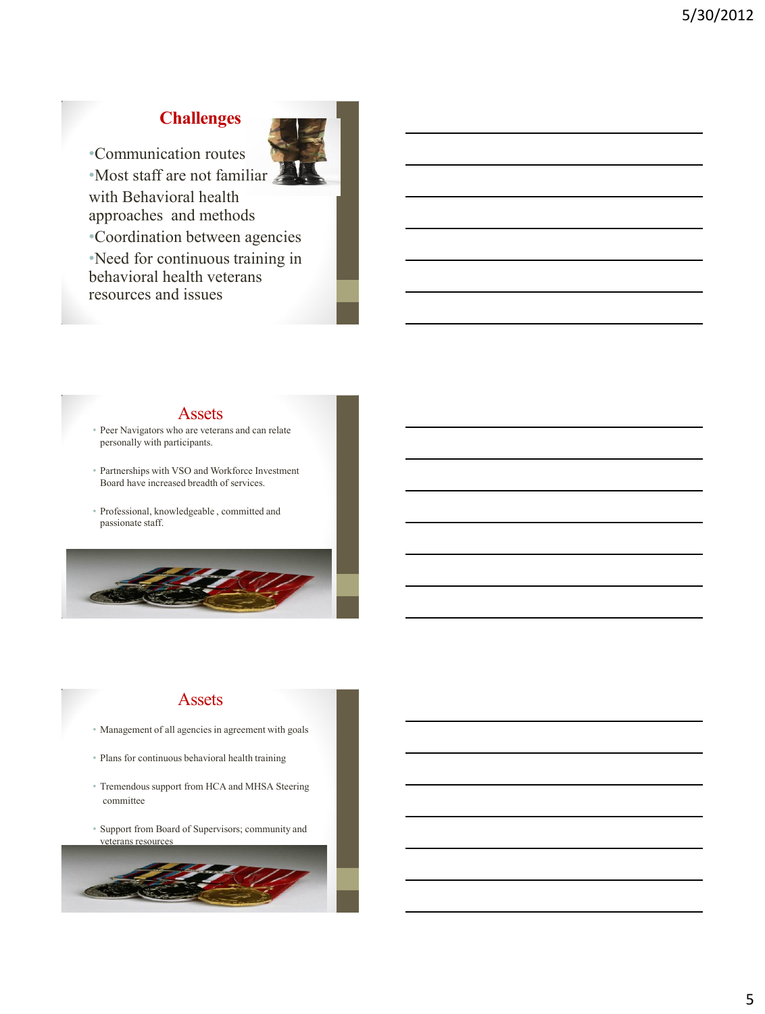# **Challenges**



•Communication routes

•Most staff are not familiar with Behavioral health approaches and methods

•Coordination between agencies

•Need for continuous training in behavioral health veterans resources and issues

### Assets

- Peer Navigators who are veterans and can relate personally with participants.
- Partnerships with VSO and Workforce Investment Board have increased breadth of services.
- Professional, knowledgeable , committed and passionate staff.



### Assets

- Management of all agencies in agreement with goals
- Plans for continuous behavioral health training
- Tremendous support from HCA and MHSA Steering committee
- Support from Board of Supervisors; community and veterans resources